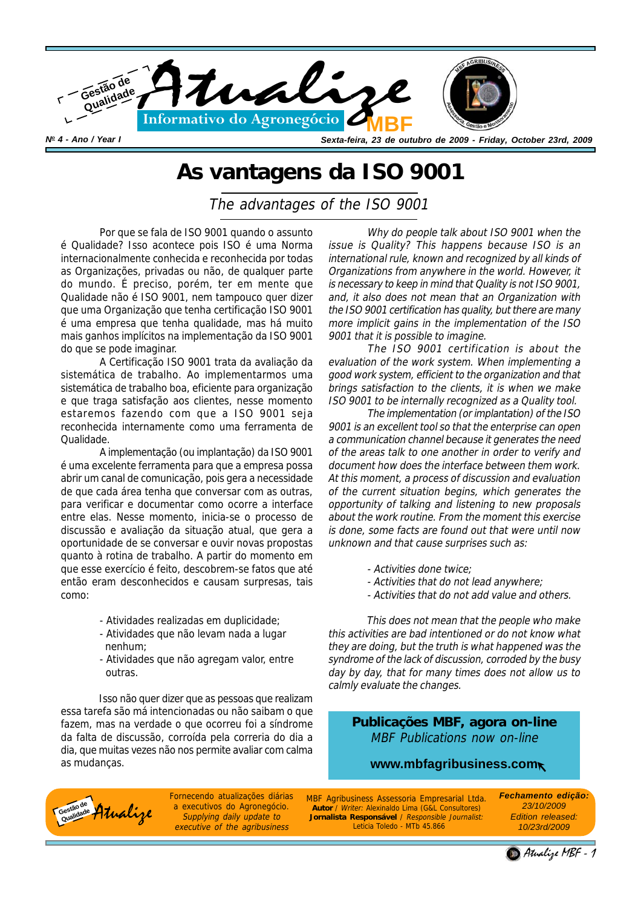

## **As vantagens da ISO 9001**

The advantages of the ISO 9001

Por que se fala de ISO 9001 quando o assunto é Qualidade? Isso acontece pois ISO é uma Norma internacionalmente conhecida e reconhecida por todas as Organizações, privadas ou não, de qualquer parte do mundo. É preciso, porém, ter em mente que Qualidade não é ISO 9001, nem tampouco quer dizer que uma Organização que tenha certificação ISO 9001 é uma empresa que tenha qualidade, mas há muito mais ganhos implícitos na implementação da ISO 9001 do que se pode imaginar.

A Certificação ISO 9001 trata da avaliação da sistemática de trabalho. Ao implementarmos uma sistemática de trabalho boa, eficiente para organização e que traga satisfação aos clientes, nesse momento estaremos fazendo com que a ISO 9001 seja reconhecida internamente como uma ferramenta de Qualidade.

A implementação (ou implantação) da ISO 9001 é uma excelente ferramenta para que a empresa possa abrir um canal de comunicação, pois gera a necessidade de que cada área tenha que conversar com as outras, para verificar e documentar como ocorre a interface entre elas. Nesse momento, inicia-se o processo de discussão e avaliação da situação atual, que gera a oportunidade de se conversar e ouvir novas propostas quanto à rotina de trabalho. A partir do momento em que esse exercício é feito, descobrem-se fatos que até então eram desconhecidos e causam surpresas, tais como:

- Atividades realizadas em duplicidade;
- Atividades que não levam nada a lugar nenhum;
- Atividades que não agregam valor, entre outras.

Isso não quer dizer que as pessoas que realizam essa tarefa são má intencionadas ou não saibam o que fazem, mas na verdade o que ocorreu foi a síndrome da falta de discussão, corroída pela correria do dia a dia, que muitas vezes não nos permite avaliar com calma as mudanças.

Why do people talk about ISO 9001 when the issue is Quality? This happens because ISO is an international rule, known and recognized by all kinds of Organizations from anywhere in the world. However, it is necessary to keep in mind that Quality is not ISO 9001, and, it also does not mean that an Organization with the ISO 9001 certification has quality, but there are many more implicit gains in the implementation of the ISO 9001 that it is possible to imagine.

The ISO 9001 certification is about the evaluation of the work system. When implementing a good work system, efficient to the organization and that brings satisfaction to the clients, it is when we make ISO 9001 to be internally recognized as a Quality tool.

The implementation (or implantation) of the ISO 9001 is an excellent tool so that the enterprise can open a communication channel because it generates the need of the areas talk to one another in order to verify and document how does the interface between them work. At this moment, a process of discussion and evaluation of the current situation begins, which generates the opportunity of talking and listening to new proposals about the work routine. From the moment this exercise is done, some facts are found out that were until now unknown and that cause surprises such as:

- Activities done twice;
- Activities that do not lead anywhere;
- Activities that do not add value and others.

This does not mean that the people who make this activities are bad intentioned or do not know what they are doing, but the truth is what happened was the syndrome of the lack of discussion, corroded by the busy day by day, that for many times does not allow us to calmly evaluate the changes.

**Publicações MBF, agora on-line** MBF Publications now on-line

## **www.mbfagribusiness.com**



Fornecendo atualizações diárias a executivos do Agronegócio. Supplying daily update to executive of the agribusiness

Fornecendo atualizações diarias MBF Agribusiness Assessoria Empresarial Ltda.<br>Atualização de Agronegócio. Autor / Writer: Alexinaldo Lima (G&L Consultores)<br>Supplying daily update to **Jornalista Responsável** / Responsible J **Autor** / Writer: Alexinaldo Lima (G&L Consultores) **Jornalista Responsável** / Responsible Journalist: Leticia Toledo - MTb 45.866

*Fechamento edição: 23/10/2009 Edition released: 10/23rd/2009*